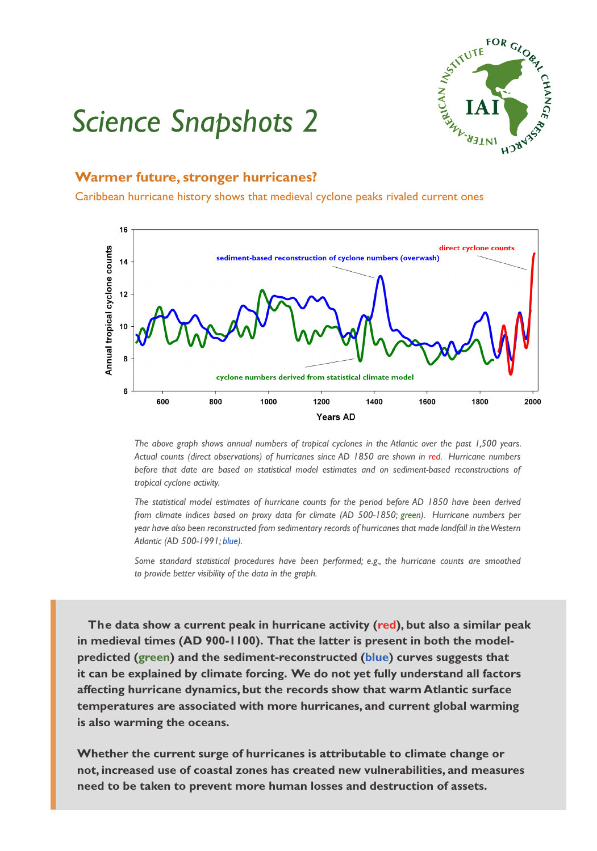

## *Science Snapshots 2*

## **Warmer future, stronger hurricanes?**

Caribbean hurricane history shows that medieval cyclone peaks rivaled current ones



*The above graph shows annual numbers of tropical cyclones in the Atlantic over the past 1,500 years. Actual counts (direct observations) of hurricanes since AD 1850 are shown in red. Hurricane numbers before that date are based on statistical model estimates and on sediment-based reconstructions of tropical cyclone activity.*

*The statistical model estimates of hurricane counts for the period before AD 1850 have been derived from climate indices based on proxy data for climate (AD 500-1850; green). Hurricane numbers per year have also been reconstructed from sedimentary records of hurricanes that made landfall in the Western Atlantic (AD 500-1991; blue).*

*Some standard statistical procedures have been performed; e.g., the hurricane counts are smoothed to provide better visibility of the data in the graph.*

 **The data show a current peak in hurricane activity (red), but also a similar peak in medieval times (AD 900-1100). That the latter is present in both the modelpredicted (green) and the sediment-reconstructed (blue) curves suggests that it can be explained by climate forcing. We do not yet fully understand all factors affecting hurricane dynamics, but the records show that warm Atlantic surface temperatures are associated with more hurricanes, and current global warming is also warming the oceans.** 

**Whether the current surge of hurricanes is attributable to climate change or not, increased use of coastal zones has created new vulnerabilities, and measures need to be taken to prevent more human losses and destruction of assets.**